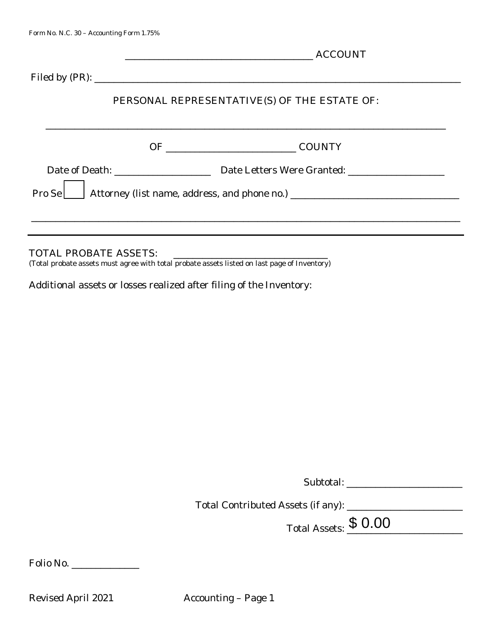|                              | <b>ACCOUNT</b> |                                                                                  |  |
|------------------------------|----------------|----------------------------------------------------------------------------------|--|
|                              |                |                                                                                  |  |
|                              |                | PERSONAL REPRESENTATIVE(S) OF THE ESTATE OF:                                     |  |
|                              |                | <b>COUNTY</b>                                                                    |  |
|                              |                |                                                                                  |  |
|                              |                | Pro Se   Attorney (list name, address, and phone no.) __________________________ |  |
|                              |                |                                                                                  |  |
| <b>TOTAL PROBATE ASSETS:</b> |                |                                                                                  |  |

(Total probate assets must agree with total probate assets listed on last page of Inventory)

Additional assets or losses realized after filing of the Inventory:

| Subtotal: |
|-----------|
|-----------|

Total Contributed Assets (if any): \_\_\_\_\_\_\_\_\_\_\_\_\_\_\_\_\_\_\_\_\_\_\_\_

Total Assets:  $$0.00$ 

Folio No. \_\_\_\_\_\_\_\_\_\_\_\_\_\_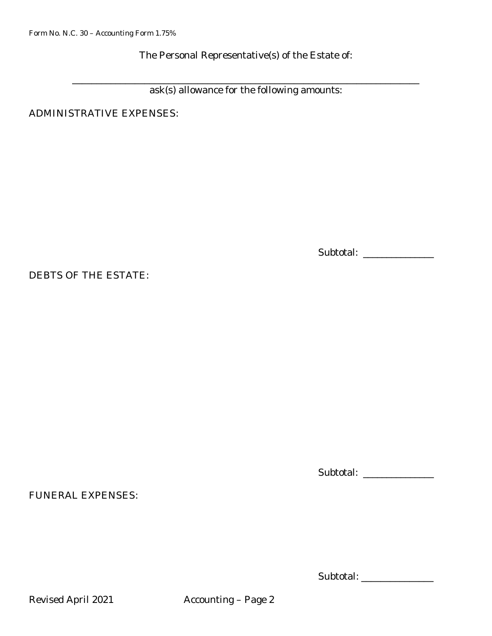The Personal Representative(s) of the Estate of:

ask(s) allowance for the following amounts:

ADMINISTRATIVE EXPENSES:

Subtotal: \_\_\_\_\_\_\_\_\_\_\_\_\_\_\_

\_\_\_\_\_\_\_\_\_\_\_\_\_\_\_\_\_\_\_\_\_\_\_\_\_\_\_\_\_\_\_\_\_\_\_\_\_\_\_\_\_\_\_\_\_\_\_\_\_\_\_\_\_\_\_\_\_\_\_\_\_\_\_\_\_\_\_\_\_\_\_\_

DEBTS OF THE ESTATE:

FUNERAL EXPENSES:

Subtotal: \_\_\_\_\_\_\_\_\_\_\_\_\_\_\_

Subtotal: \_\_\_\_\_\_\_\_\_\_\_\_\_\_\_